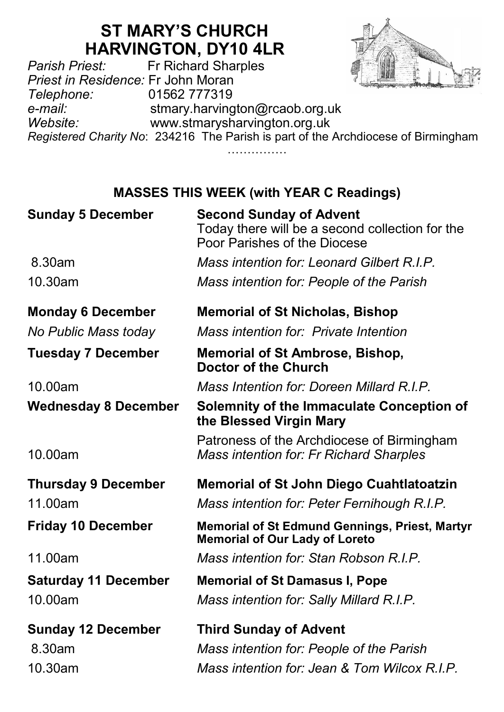# **ST MARY'S CHURCH HARVINGTON, DY10 4LR**<br>Fr Richard Sharples



*Parish Priest:* Fr Richard Sharples *Priest in Residence:* Fr John Moran *Telephone:* 01562 777319 e-*mail:* stmary.harvington@rcaob.org.uk<br>www.stmarysharvington.org.uk *Website:* www.stmarysharvington.org.uk *Registered Charity No*: 234216 The Parish is part of the Archdiocese of Birmingham ……………

## **MASSES THIS WEEK (with YEAR C Readings)**

| <b>Sunday 5 December</b>    | <b>Second Sunday of Advent</b><br>Today there will be a second collection for the<br>Poor Parishes of the Diocese |
|-----------------------------|-------------------------------------------------------------------------------------------------------------------|
| 8.30am                      | Mass intention for: Leonard Gilbert R.I.P.                                                                        |
| 10.30am                     | Mass intention for: People of the Parish                                                                          |
| <b>Monday 6 December</b>    | <b>Memorial of St Nicholas, Bishop</b>                                                                            |
| No Public Mass today        | Mass intention for: Private Intention                                                                             |
| <b>Tuesday 7 December</b>   | <b>Memorial of St Ambrose, Bishop,</b><br><b>Doctor of the Church</b>                                             |
| 10.00am                     | Mass Intention for: Doreen Millard R.I.P.                                                                         |
| <b>Wednesday 8 December</b> | Solemnity of the Immaculate Conception of<br>the Blessed Virgin Mary                                              |
| 10.00am                     | Patroness of the Archdiocese of Birmingham<br><b>Mass intention for: Fr Richard Sharples</b>                      |
| <b>Thursday 9 December</b>  | <b>Memorial of St John Diego Cuahtlatoatzin</b>                                                                   |
| 11.00am                     | Mass intention for: Peter Fernihough R.I.P.                                                                       |
| <b>Friday 10 December</b>   | <b>Memorial of St Edmund Gennings, Priest, Martyr</b><br><b>Memorial of Our Lady of Loreto</b>                    |
| 11.00am                     | Mass intention for: Stan Robson R.I.P.                                                                            |
| <b>Saturday 11 December</b> | <b>Memorial of St Damasus I, Pope</b>                                                                             |
| 10.00am                     | Mass intention for: Sally Millard R.I.P.                                                                          |
| <b>Sunday 12 December</b>   | <b>Third Sunday of Advent</b>                                                                                     |
| 8.30am                      | Mass intention for: People of the Parish                                                                          |
| 10.30am                     | Mass intention for: Jean & Tom Wilcox R.I.P.                                                                      |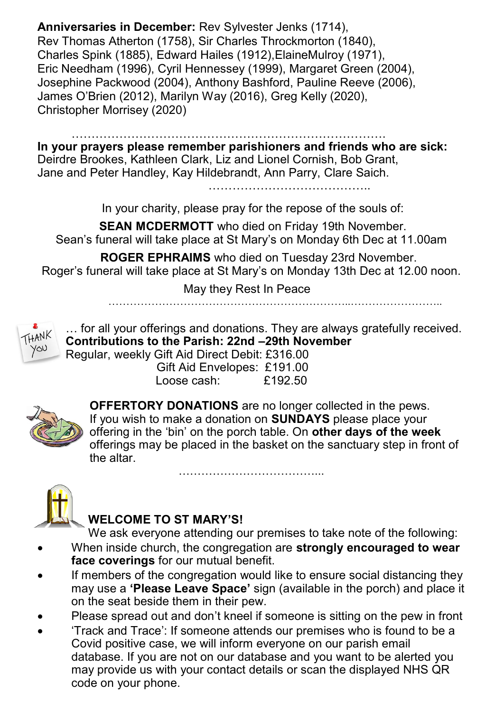**Anniversaries in December:** Rev Sylvester Jenks (1714), Rev Thomas Atherton (1758), Sir Charles Throckmorton (1840), Charles Spink (1885), Edward Hailes (1912),ElaineMulroy (1971), Eric Needham (1996), Cyril Hennessey (1999), Margaret Green (2004), Josephine Packwood (2004), Anthony Bashford, Pauline Reeve (2006), James O'Brien (2012), Marilyn Way (2016), Greg Kelly (2020), Christopher Morrisey (2020)

…………………………………………………………………….

**In your prayers please remember parishioners and friends who are sick:**  Deirdre Brookes, Kathleen Clark, Liz and Lionel Cornish, Bob Grant, Jane and Peter Handley, Kay Hildebrandt, Ann Parry, Clare Saich.

…………………………………..

In your charity, please pray for the repose of the souls of:

**SEAN MCDERMOTT** who died on Friday 19th November. Sean's funeral will take place at St Mary's on Monday 6th Dec at 11.00am

 **ROGER EPHRAIMS** who died on Tuesday 23rd November. Roger's funeral will take place at St Mary's on Monday 13th Dec at 12.00 noon.

May they Rest In Peace

…………………………………………………………..……………………..



… for all your offerings and donations. They are always gratefully received. **Contributions to the Parish: 22nd –29th November** Regular, weekly Gift Aid Direct Debit: £316.00

 Gift Aid Envelopes: £191.00 Loose cash: £192.50



**OFFERTORY DONATIONS** are no longer collected in the pews. If you wish to make a donation on **SUNDAYS** please place your offering in the 'bin' on the porch table. On **other days of the week**  offerings may be placed in the basket on the sanctuary step in front of the altar.

………………………………...



#### **WELCOME TO ST MARY'S!**

We ask everyone attending our premises to take note of the following:

- When inside church, the congregation are **strongly encouraged to wear face coverings** for our mutual benefit.
- If members of the congregation would like to ensure social distancing they may use a **'Please Leave Space'** sign (available in the porch) and place it on the seat beside them in their pew.
- Please spread out and don't kneel if someone is sitting on the pew in front
- 'Track and Trace': If someone attends our premises who is found to be a Covid positive case, we will inform everyone on our parish email database. If you are not on our database and you want to be alerted you may provide us with your contact details or scan the displayed NHS QR code on your phone.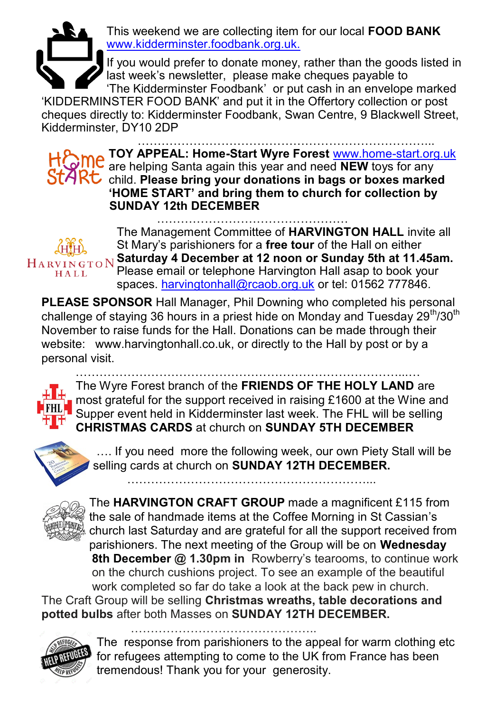

This weekend we are collecting item for our local **FOOD BANK**  www.kidderminster.foodbank.org.uk.

If you would prefer to donate money, rather than the goods listed in last week's newsletter, please make cheques payable to 'The Kidderminster Foodbank' or put cash in an envelope marked

'KIDDERMINSTER FOOD BANK' and put it in the Offertory collection or post cheques directly to: Kidderminster Foodbank, Swan Centre, 9 Blackwell Street, Kidderminster, DY10 2DP

………………………………………………………………...

**TOY APPEAL: Home-Start Wyre Forest** www.home-start.org.uk are helping Santa again this year and need **NEW** toys for any StARC child. Please bring your donations in bags or boxes marked **'HOME START' and bring them to church for collection by SUNDAY 12th DECEMBER**

HARVINGTON HALL

………………………………………… The Management Committee of **HARVINGTON HALL** invite all St Mary's parishioners for a **free tour** of the Hall on either **Saturday 4 December at 12 noon or Sunday 5th at 11.45am.**  Please email or telephone Harvington Hall asap to book your spaces. [harvingtonhall@rcaob.org.uk](mailto:harvingtonhall@rcaob.org.uk) or tel: 01562 777846.

**PLEASE SPONSOR** Hall Manager, Phil Downing who completed his personal challenge of staying 36 hours in a priest hide on Monday and Tuesday  $29<sup>th</sup>/30<sup>th</sup>$ November to raise funds for the Hall. Donations can be made through their website: www.harvingtonhall.co.uk, or directly to the Hall by post or by a personal visit.

………………………………………………………………………...…

The Wyre Forest branch of the **FRIENDS OF THE HOLY LAND** are most grateful for the support received in raising £1600 at the Wine and Supper event held in Kidderminster last week. The FHL will be selling **CHRISTMAS CARDS** at church on **SUNDAY 5TH DECEMBER** 



…. If you need more the following week, our own Piety Stall will be selling cards at church on **SUNDAY 12TH DECEMBER.**

……………………………………………………...



The **HARVINGTON CRAFT GROUP** made a magnificent £115 from the sale of handmade items at the Coffee Morning in St Cassian's church last Saturday and are grateful for all the support received from parishioners. The next meeting of the Group will be on **Wednesday 8th December @ 1.30pm in** Rowberry's tearooms, to continue work on the church cushions project. To see an example of the beautiful work completed so far do take a look at the back pew in church.

The Craft Group will be selling **Christmas wreaths, table decorations and potted bulbs** after both Masses on **SUNDAY 12TH DECEMBER.**



………………………………………..

The response from parishioners to the appeal for warm clothing etc for refugees attempting to come to the UK from France has been tremendous! Thank you for your generosity.